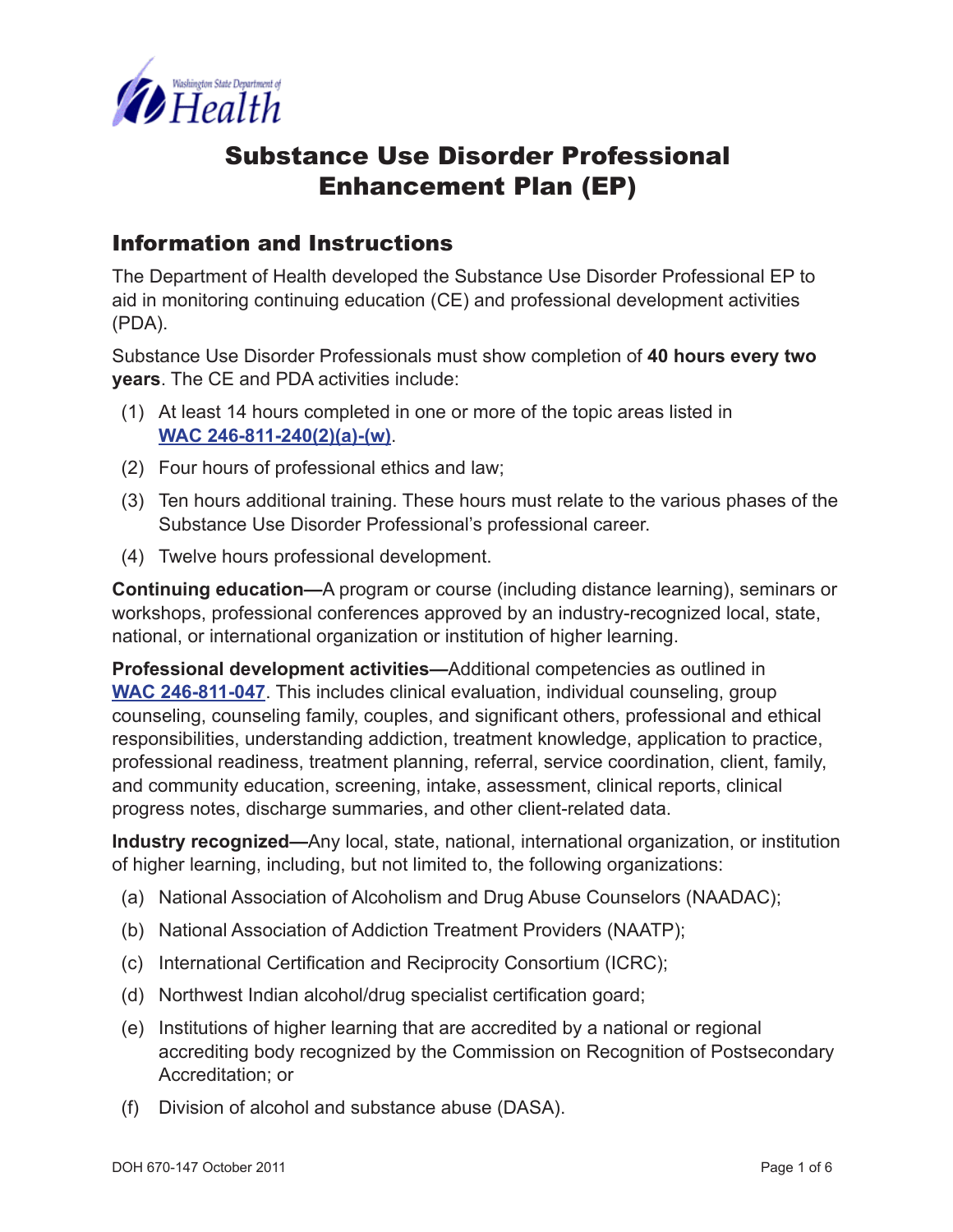

## Substance Use Disorder Professional Enhancement Plan (EP)

#### Information and Instructions

The Department of Health developed the Substance Use Disorder Professional EP to aid in monitoring continuing education (CE) and professional development activities (PDA).

Substance Use Disorder Professionals must show completion of **40 hours every two years**. The CE and PDA activities include:

- (1) At least 14 hours completed in one or more of the topic areas listed in **[WAC 246-811-240\(2\)\(a\)-\(w\)](http://apps.leg.wa.gov/WAC/default.aspx?cite=246-811-240)**.
- (2) Four hours of professional ethics and law;
- (3) Ten hours additional training. These hours must relate to the various phases of the Substance Use Disorder Professional's professional career.
- (4) Twelve hours professional development.

**Continuing education—**A program or course (including distance learning), seminars or workshops, professional conferences approved by an industry-recognized local, state, national, or international organization or institution of higher learning.

**Professional development activities—**Additional competencies as outlined in **[WAC 246-811-047](http://apps.leg.wa.gov/WAC/default.aspx?cite=246-811-047)**. This includes clinical evaluation, individual counseling, group counseling, counseling family, couples, and significant others, professional and ethical responsibilities, understanding addiction, treatment knowledge, application to practice, professional readiness, treatment planning, referral, service coordination, client, family, and community education, screening, intake, assessment, clinical reports, clinical progress notes, discharge summaries, and other client-related data.

**Industry recognized—**Any local, state, national, international organization, or institution of higher learning, including, but not limited to, the following organizations:

- (a) National Association of Alcoholism and Drug Abuse Counselors (NAADAC);
- (b) National Association of Addiction Treatment Providers (NAATP);
- (c) International Certification and Reciprocity Consortium (ICRC);
- (d) Northwest Indian alcohol/drug specialist certification goard;
- (e) Institutions of higher learning that are accredited by a national or regional accrediting body recognized by the Commission on Recognition of Postsecondary Accreditation; or
- (f) Division of alcohol and substance abuse (DASA).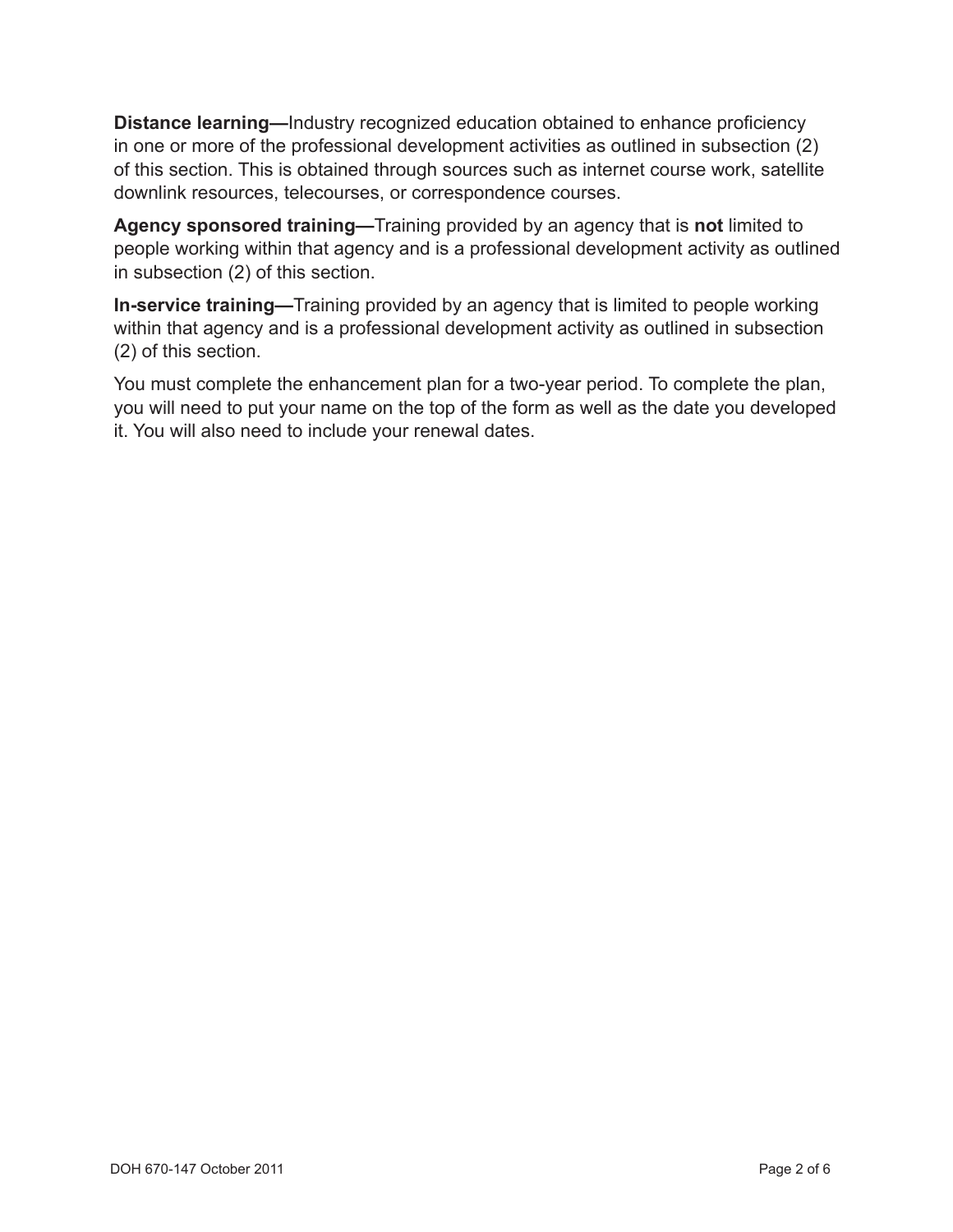**Distance learning—**Industry recognized education obtained to enhance proficiency in one or more of the professional development activities as outlined in subsection (2) of this section. This is obtained through sources such as internet course work, satellite downlink resources, telecourses, or correspondence courses.

**Agency sponsored training—**Training provided by an agency that is **not** limited to people working within that agency and is a professional development activity as outlined in subsection (2) of this section.

**In-service training—**Training provided by an agency that is limited to people working within that agency and is a professional development activity as outlined in subsection (2) of this section.

You must complete the enhancement plan for a two-year period. To complete the plan, you will need to put your name on the top of the form as well as the date you developed it. You will also need to include your renewal dates.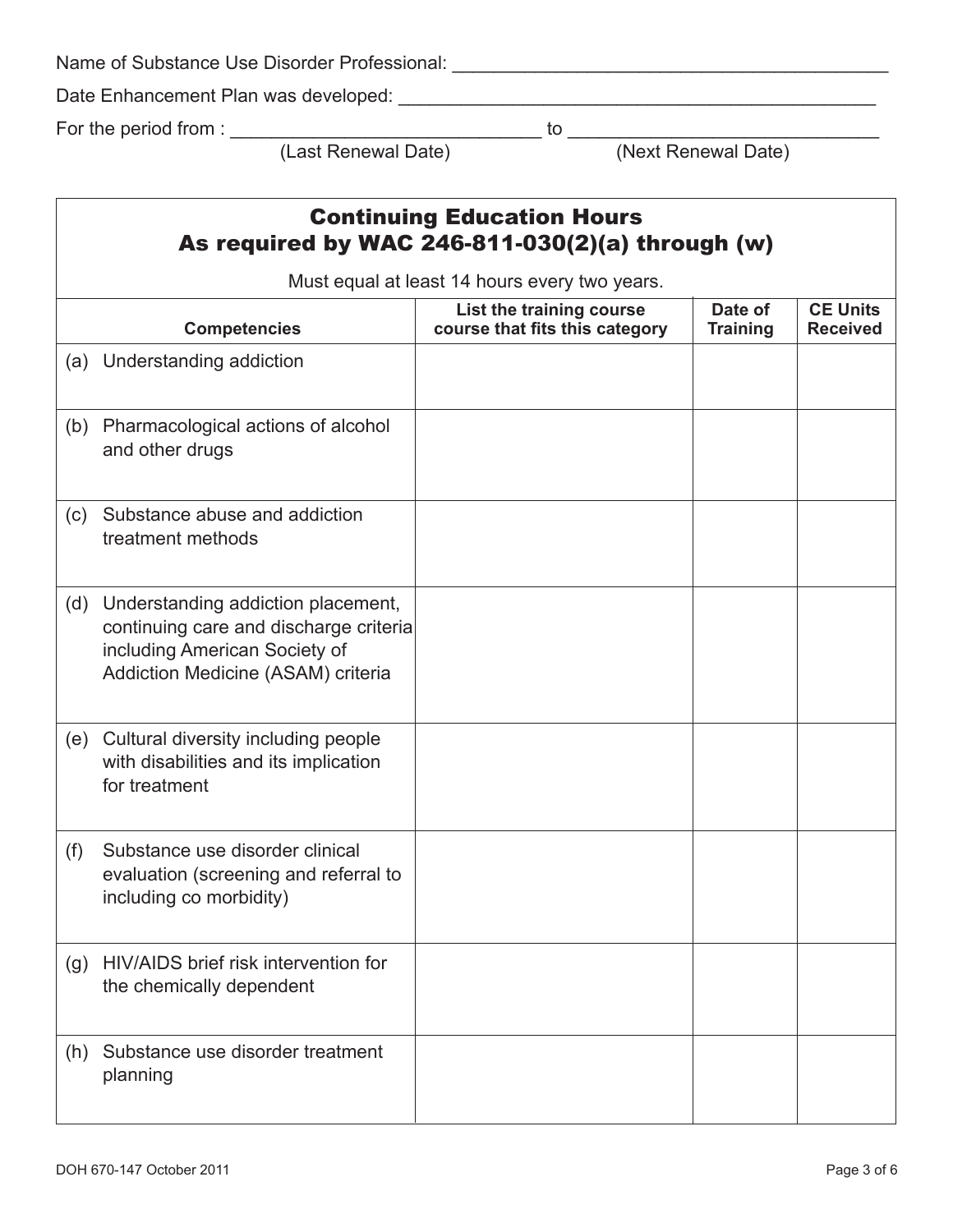| Name of Substance Use Disorder Professional: |  |
|----------------------------------------------|--|
| Date Enhancement Plan was developed:         |  |
| For the period from :                        |  |

(Last Renewal Date) (Next Renewal Date)

## Continuing Education Hours As required by WAC 246-811-030(2)(a) through (w)

| Must equal at least 14 hours every two years. |                                                                                                                                                     |                                                            |                            |                                    |
|-----------------------------------------------|-----------------------------------------------------------------------------------------------------------------------------------------------------|------------------------------------------------------------|----------------------------|------------------------------------|
|                                               | <b>Competencies</b>                                                                                                                                 | List the training course<br>course that fits this category | Date of<br><b>Training</b> | <b>CE Units</b><br><b>Received</b> |
| (a)                                           | Understanding addiction                                                                                                                             |                                                            |                            |                                    |
| (b)                                           | Pharmacological actions of alcohol<br>and other drugs                                                                                               |                                                            |                            |                                    |
| (c)                                           | Substance abuse and addiction<br>treatment methods                                                                                                  |                                                            |                            |                                    |
| (d)                                           | Understanding addiction placement,<br>continuing care and discharge criteria<br>including American Society of<br>Addiction Medicine (ASAM) criteria |                                                            |                            |                                    |
| (e)                                           | Cultural diversity including people<br>with disabilities and its implication<br>for treatment                                                       |                                                            |                            |                                    |
| (f)                                           | Substance use disorder clinical<br>evaluation (screening and referral to<br>including co morbidity)                                                 |                                                            |                            |                                    |
| (g)                                           | HIV/AIDS brief risk intervention for<br>the chemically dependent                                                                                    |                                                            |                            |                                    |
| (h)                                           | Substance use disorder treatment<br>planning                                                                                                        |                                                            |                            |                                    |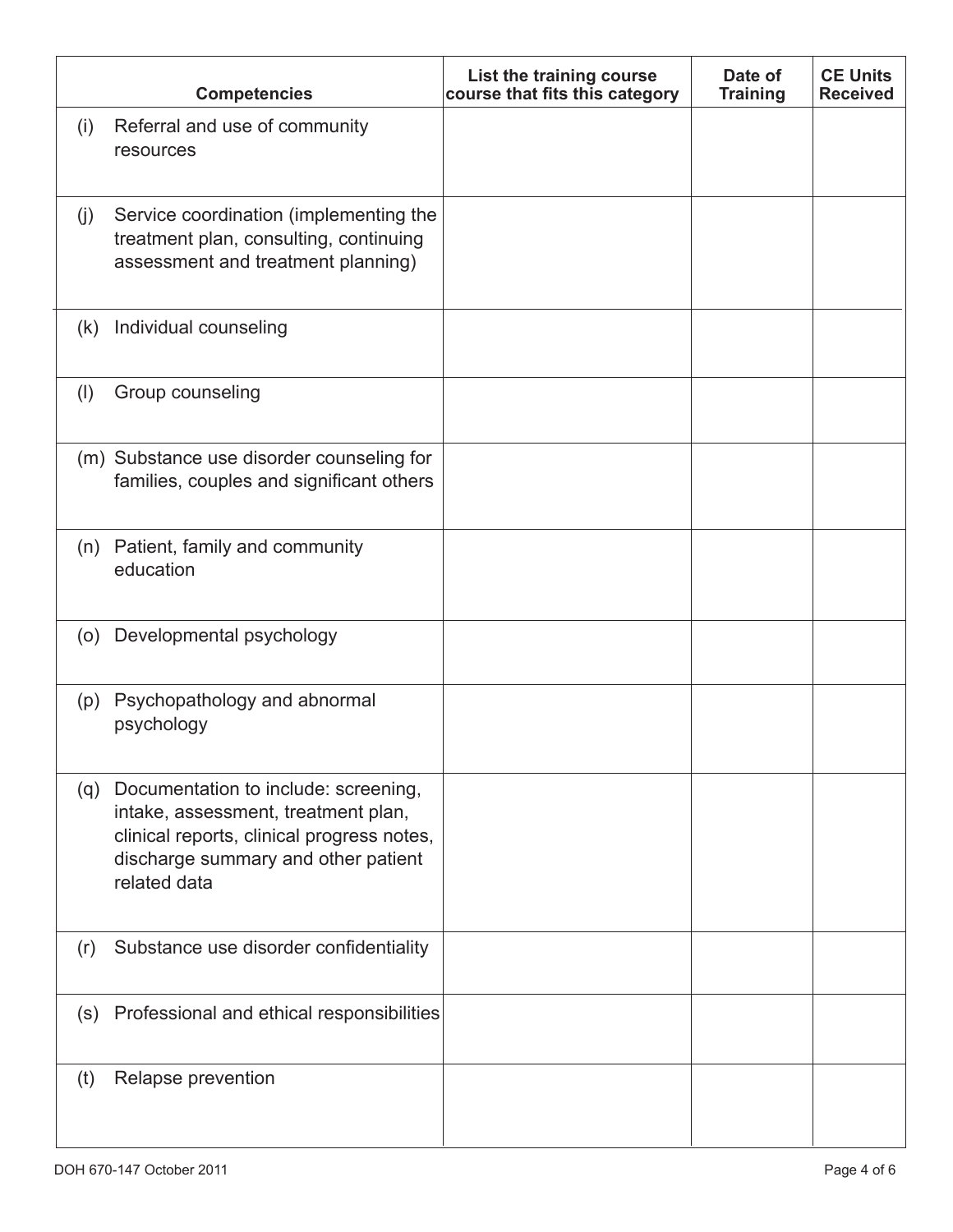| <b>Competencies</b>                                                                                                                                                                  | List the training course<br>course that fits this category | Date of<br><b>Training</b> | <b>CE Units</b><br><b>Received</b> |
|--------------------------------------------------------------------------------------------------------------------------------------------------------------------------------------|------------------------------------------------------------|----------------------------|------------------------------------|
| Referral and use of community<br>(i)<br>resources                                                                                                                                    |                                                            |                            |                                    |
| Service coordination (implementing the<br>(j)<br>treatment plan, consulting, continuing<br>assessment and treatment planning)                                                        |                                                            |                            |                                    |
| Individual counseling<br>(k)                                                                                                                                                         |                                                            |                            |                                    |
| Group counseling<br>(1)                                                                                                                                                              |                                                            |                            |                                    |
| (m) Substance use disorder counseling for<br>families, couples and significant others                                                                                                |                                                            |                            |                                    |
| (n) Patient, family and community<br>education                                                                                                                                       |                                                            |                            |                                    |
| Developmental psychology<br>(0)                                                                                                                                                      |                                                            |                            |                                    |
| Psychopathology and abnormal<br>(p)<br>psychology                                                                                                                                    |                                                            |                            |                                    |
| (q) Documentation to include: screening,<br>intake, assessment, treatment plan,<br>clinical reports, clinical progress notes,<br>discharge summary and other patient<br>related data |                                                            |                            |                                    |
| Substance use disorder confidentiality<br>(r)                                                                                                                                        |                                                            |                            |                                    |
| (s) Professional and ethical responsibilities                                                                                                                                        |                                                            |                            |                                    |
| Relapse prevention<br>(t)                                                                                                                                                            |                                                            |                            |                                    |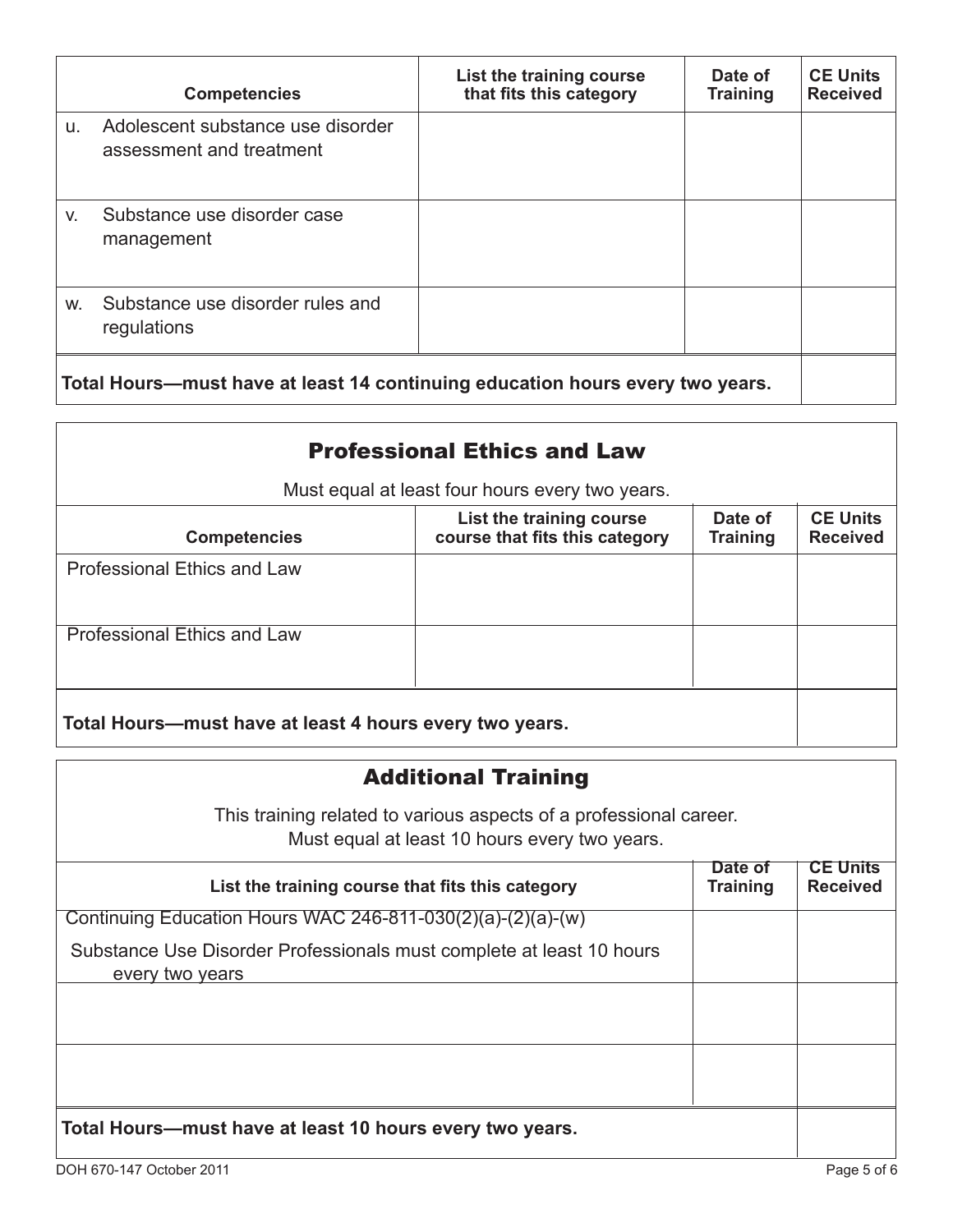|                                                                               | <b>Competencies</b>                                           | List the training course<br>that fits this category | Date of<br><b>Training</b> | <b>CE Units</b><br><b>Received</b> |
|-------------------------------------------------------------------------------|---------------------------------------------------------------|-----------------------------------------------------|----------------------------|------------------------------------|
| u.                                                                            | Adolescent substance use disorder<br>assessment and treatment |                                                     |                            |                                    |
| V.                                                                            | Substance use disorder case<br>management                     |                                                     |                            |                                    |
| W.                                                                            | Substance use disorder rules and<br>regulations               |                                                     |                            |                                    |
| Total Hours—must have at least 14 continuing education hours every two years. |                                                               |                                                     |                            |                                    |

| <b>Professional Ethics and Law</b>                      |                                                            |                            |                                    |
|---------------------------------------------------------|------------------------------------------------------------|----------------------------|------------------------------------|
| Must equal at least four hours every two years.         |                                                            |                            |                                    |
| <b>Competencies</b>                                     | List the training course<br>course that fits this category | Date of<br><b>Training</b> | <b>CE Units</b><br><b>Received</b> |
| <b>Professional Ethics and Law</b>                      |                                                            |                            |                                    |
| <b>Professional Ethics and Law</b>                      |                                                            |                            |                                    |
| Total Hours—must have at least 4 hours every two years. |                                                            |                            |                                    |

#### Additional Training

This training related to various aspects of a professional career. Must equal at least 10 hours every two years.

| List the training course that fits this category                                        | Date of<br><b>Training</b> | <b>CE Units</b><br><b>Received</b> |
|-----------------------------------------------------------------------------------------|----------------------------|------------------------------------|
| Continuing Education Hours WAC 246-811-030(2)(a)-(2)(a)-(w)                             |                            |                                    |
| Substance Use Disorder Professionals must complete at least 10 hours<br>every two years |                            |                                    |
|                                                                                         |                            |                                    |
|                                                                                         |                            |                                    |
| Total Hours—must have at least 10 hours every two years.                                |                            |                                    |